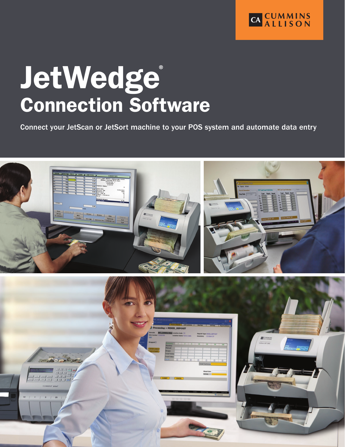

# JetWedge® Connection Software

Connect your JetScan or JetSort machine to your POS system and automate data entry